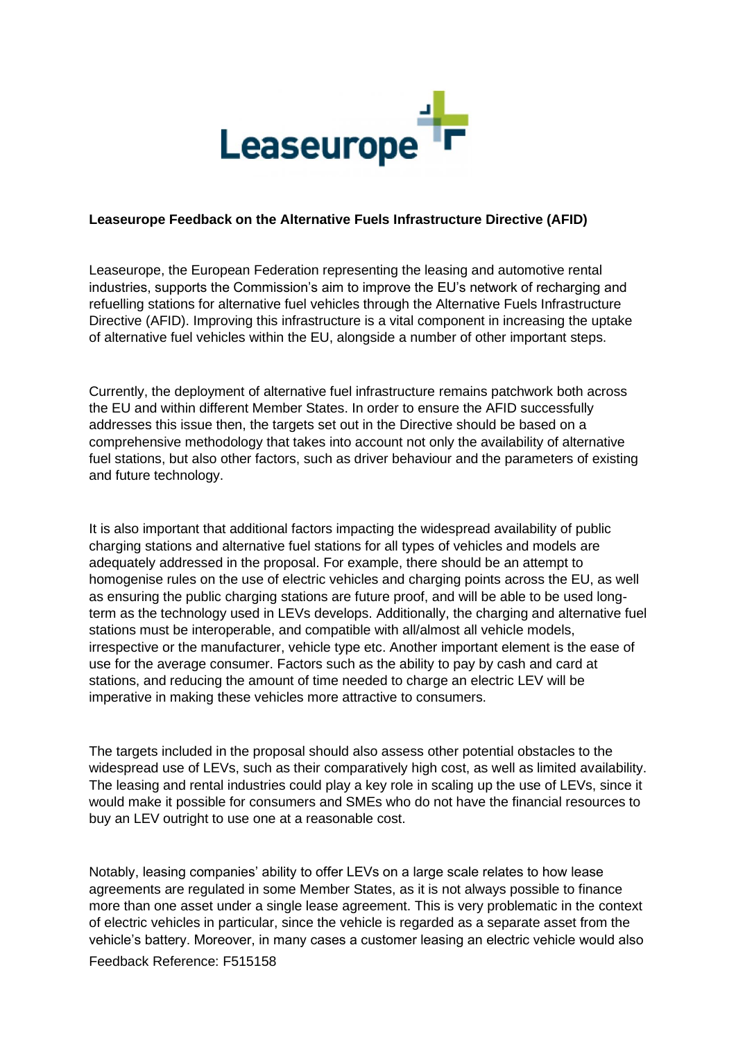

## **Leaseurope Feedback on the Alternative Fuels Infrastructure Directive (AFID)**

Leaseurope, the European Federation representing the leasing and automotive rental industries, supports the Commission's aim to improve the EU's network of recharging and refuelling stations for alternative fuel vehicles through the Alternative Fuels Infrastructure Directive (AFID). Improving this infrastructure is a vital component in increasing the uptake of alternative fuel vehicles within the EU, alongside a number of other important steps.

Currently, the deployment of alternative fuel infrastructure remains patchwork both across the EU and within different Member States. In order to ensure the AFID successfully addresses this issue then, the targets set out in the Directive should be based on a comprehensive methodology that takes into account not only the availability of alternative fuel stations, but also other factors, such as driver behaviour and the parameters of existing and future technology.

It is also important that additional factors impacting the widespread availability of public charging stations and alternative fuel stations for all types of vehicles and models are adequately addressed in the proposal. For example, there should be an attempt to homogenise rules on the use of electric vehicles and charging points across the EU, as well as ensuring the public charging stations are future proof, and will be able to be used longterm as the technology used in LEVs develops. Additionally, the charging and alternative fuel stations must be interoperable, and compatible with all/almost all vehicle models, irrespective or the manufacturer, vehicle type etc. Another important element is the ease of use for the average consumer. Factors such as the ability to pay by cash and card at stations, and reducing the amount of time needed to charge an electric LEV will be imperative in making these vehicles more attractive to consumers.

The targets included in the proposal should also assess other potential obstacles to the widespread use of LEVs, such as their comparatively high cost, as well as limited availability. The leasing and rental industries could play a key role in scaling up the use of LEVs, since it would make it possible for consumers and SMEs who do not have the financial resources to buy an LEV outright to use one at a reasonable cost.

Notably, leasing companies' ability to offer LEVs on a large scale relates to how lease agreements are regulated in some Member States, as it is not always possible to finance more than one asset under a single lease agreement. This is very problematic in the context of electric vehicles in particular, since the vehicle is regarded as a separate asset from the vehicle's battery. Moreover, in many cases a customer leasing an electric vehicle would also

Feedback Reference: F515158